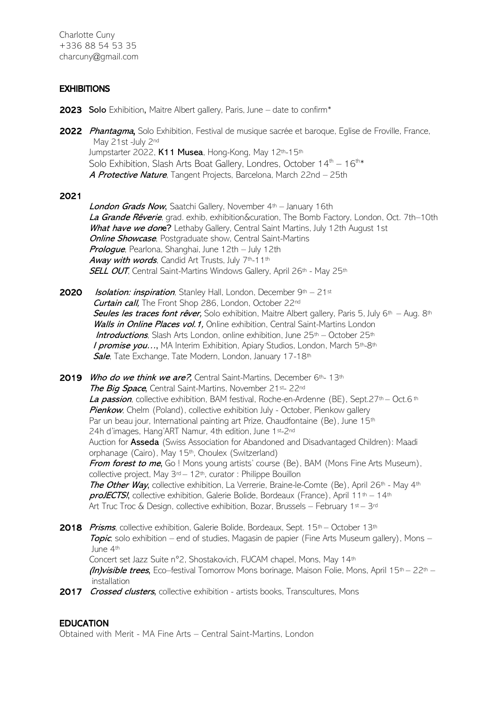Charlotte Cuny +336 88 54 53 35 charcuny@gmail.com

## **EXHIBITIONS**

- 2023 Solo Exhibition, Maitre Albert gallery, Paris, June date to confirm\*
- 2022 Phantagma, Solo Exhibition, Festival de musique sacrée et baroque, Eglise de Froville, France, May 21st -July 2nd Jumpstarter 2022, K11 Musea, Hong-Kong, May 12th-15th Solo Exhibition, Slash Arts Boat Gallery, Londres, October  $14<sup>th</sup> - 16<sup>th</sup> *$ A Protective Nature, Tangent Projects, Barcelona, March 22nd – 25th

### 2021

London Grads Now, Saatchi Gallery, November 4th - January 16th La Grande Rêverie, grad. exhib, exhibition&curation, The Bomb Factory, London, Oct. 7th–10th What have we done? Lethaby Gallery, Central Saint Martins, July 12th August 1st **Online Showcase**, Postgraduate show, Central Saint-Martins Prologue, Pearlona, Shanghai, June 12th – July 12th Away with words, Candid Art Trusts, July 7th-11th SELL OUT, Central Saint-Martins Windows Gallery, April 26th - May 25th

- **2020** Isolation: inspiration, Stanley Hall, London, December  $9<sup>th</sup> 21<sup>st</sup>$ Curtain call, The Front Shop 286, London, October 22<sup>nd</sup> Seules les traces font rêver, Solo exhibition, Maitre Albert gallery, Paris 5, July 6<sup>th</sup> – Aug. 8<sup>th</sup> Walls in Online Places vol. 1, Online exhibition, Central Saint-Martins London Introductions, Slash Arts London, online exhibition, June 25th – October 25th I promise you..., MA Interim Exhibition, Apiary Studios, London, March 5th-8th Sale, Tate Exchange, Tate Modern, London, January 17-18th
- 2019 Who do we think we are?, Central Saint-Martins, December 6th- 13th The Big Space, Central Saint-Martins, November 21st- 22nd La passion, collective exhibition, BAM festival, Roche-en-Ardenne (BE), Sept.27<sup>th</sup> – Oct.6<sup>th</sup> **Pienkow**, Chelm (Poland), collective exhibition July - October, Pienkow gallery Par un beau jour, International painting art Prize, Chaudfontaine (Be), June 15<sup>th</sup> 24h d'images, Hang'ART Namur, 4th edition, June 1st-2nd Auction for Asseda (Swiss Association for Abandoned and Disadvantaged Children): Maadi orphanage (Cairo), May 15<sup>th</sup>, Choulex (Switzerland) From forest to me, Go! Mons young artists' course (Be), BAM (Mons Fine Arts Museum), collective project, May  $3^{rd} - 12^{th}$ , curator : Philippe Bouillon The Other Way, collective exhibition, La Verrerie, Braine-le-Comte (Be), April 26<sup>th</sup> - May 4<sup>th</sup> **proJECTS!**, collective exhibition, Galerie Bolide, Bordeaux (France), April  $11^{th} - 14^{th}$ Art Truc Troc & Design, collective exhibition, Bozar, Brussels – February  $1^{st}$  –  $3^{rd}$
- 2018 Prisms, collective exhibition, Galerie Bolide, Bordeaux, Sept. 15<sup>th</sup> October 13<sup>th</sup> **Topic**, solo exhibition – end of studies, Magasin de papier (Fine Arts Museum gallery), Mons – June 4th Concert set Jazz Suite n°2, Shostakovich, FUCAM chapel, Mons, May 14th *(In)visible trees*, Eco–festival Tomorrow Mons borinage, Maison Folie, Mons, April 15<sup>th</sup> – 22<sup>th</sup> – installation
- 2017 Crossed clusters, collective exhibition artists books, Transcultures, Mons

### EDUCATION

Obtained with Merit - MA Fine Arts – Central Saint-Martins, London